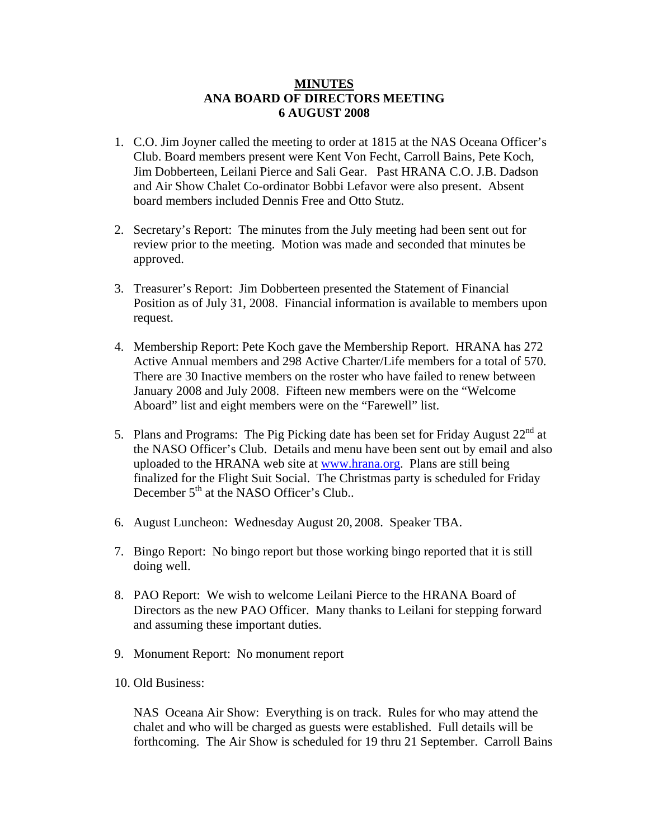## **MINUTES ANA BOARD OF DIRECTORS MEETING 6 AUGUST 2008**

- 1. C.O. Jim Joyner called the meeting to order at 1815 at the NAS Oceana Officer's Club. Board members present were Kent Von Fecht, Carroll Bains, Pete Koch, Jim Dobberteen, Leilani Pierce and Sali Gear. Past HRANA C.O. J.B. Dadson and Air Show Chalet Co-ordinator Bobbi Lefavor were also present. Absent board members included Dennis Free and Otto Stutz.
- 2. Secretary's Report: The minutes from the July meeting had been sent out for review prior to the meeting. Motion was made and seconded that minutes be approved.
- 3. Treasurer's Report: Jim Dobberteen presented the Statement of Financial Position as of July 31, 2008. Financial information is available to members upon request.
- 4. Membership Report: Pete Koch gave the Membership Report. HRANA has 272 Active Annual members and 298 Active Charter/Life members for a total of 570. There are 30 Inactive members on the roster who have failed to renew between January 2008 and July 2008. Fifteen new members were on the "Welcome Aboard" list and eight members were on the "Farewell" list.
- 5. Plans and Programs: The Pig Picking date has been set for Friday August  $22<sup>nd</sup>$  at the NASO Officer's Club. Details and menu have been sent out by email and also uploaded to the HRANA web site at [www.hrana.org.](http://www.hrana.org/) Plans are still being finalized for the Flight Suit Social. The Christmas party is scheduled for Friday December  $5<sup>th</sup>$  at the NASO Officer's Club..
- 6. August Luncheon: Wednesday August 20, 2008. Speaker TBA.
- 7. Bingo Report: No bingo report but those working bingo reported that it is still doing well.
- 8. PAO Report: We wish to welcome Leilani Pierce to the HRANA Board of Directors as the new PAO Officer. Many thanks to Leilani for stepping forward and assuming these important duties.
- 9. Monument Report: No monument report
- 10. Old Business:

NAS Oceana Air Show: Everything is on track. Rules for who may attend the chalet and who will be charged as guests were established. Full details will be forthcoming. The Air Show is scheduled for 19 thru 21 September. Carroll Bains